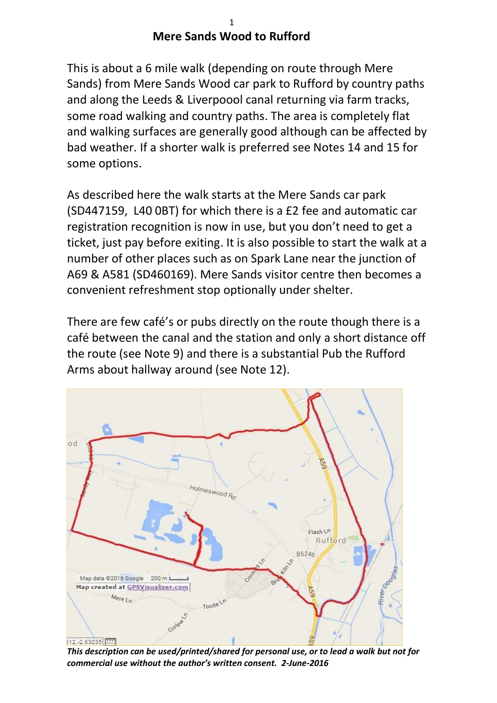## 1 **Mere Sands Wood to Rufford**

This is about a 6 mile walk (depending on route through Mere Sands) from Mere Sands Wood car park to Rufford by country paths and along the Leeds & Liverpoool canal returning via farm tracks, some road walking and country paths. The area is completely flat and walking surfaces are generally good although can be affected by bad weather. If a shorter walk is preferred see Notes 14 and 15 for some options.

As described here the walk starts at the Mere Sands car park (SD447159, L40 0BT) for which there is a £2 fee and automatic car registration recognition is now in use, but you don't need to get a ticket, just pay before exiting. It is also possible to start the walk at a number of other places such as on Spark Lane near the junction of A69 & A581 (SD460169). Mere Sands visitor centre then becomes a convenient refreshment stop optionally under shelter.

There are few café's or pubs directly on the route though there is a café between the canal and the station and only a short distance off the route (see Note 9) and there is a substantial Pub the Rufford Arms about hallway around (see Note 12).



*This description can be used/printed/shared for personal use, or to lead a walk but not for commercial use without the author's written consent. 2-June-2016*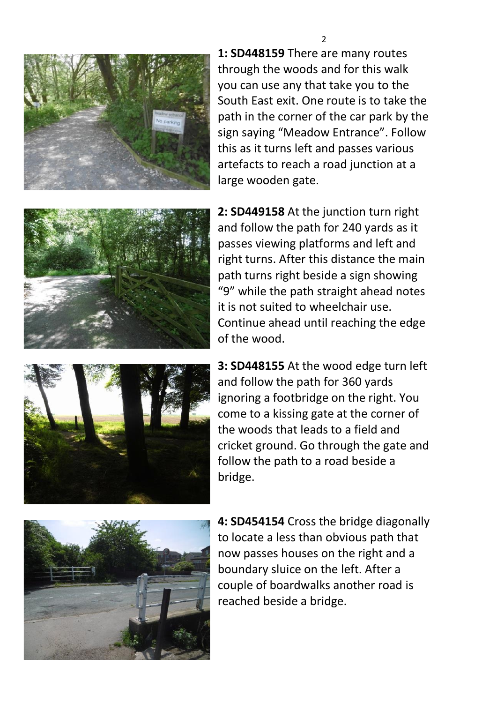

**1: SD448159** There are many routes through the woods and for this walk you can use any that take you to the South East exit. One route is to take the path in the corner of the car park by the sign saying "Meadow Entrance". Follow this as it turns left and passes various artefacts to reach a road junction at a large wooden gate.



**2: SD449158** At the junction turn right and follow the path for 240 yards as it passes viewing platforms and left and right turns. After this distance the main path turns right beside a sign showing "9" while the path straight ahead notes it is not suited to wheelchair use. Continue ahead until reaching the edge of the wood.

**3: SD448155** At the wood edge turn left and follow the path for 360 yards ignoring a footbridge on the right. You come to a kissing gate at the corner of the woods that leads to a field and cricket ground. Go through the gate and follow the path to a road beside a bridge.



**4: SD454154** Cross the bridge diagonally to locate a less than obvious path that now passes houses on the right and a boundary sluice on the left. After a couple of boardwalks another road is reached beside a bridge.

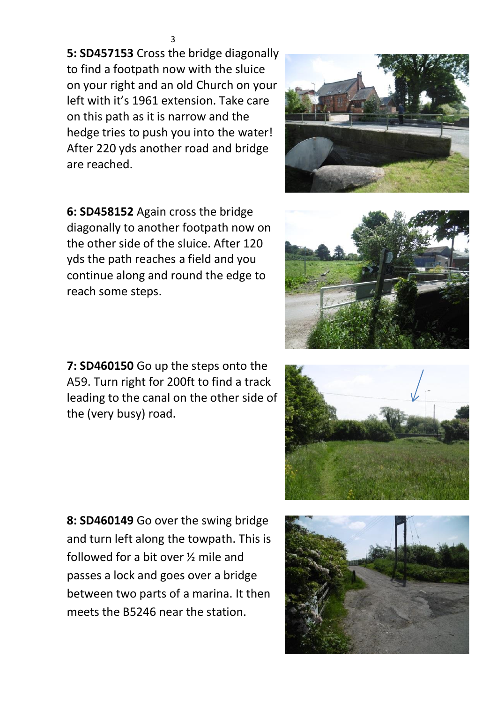**5: SD457153** Cross the bridge diagonally to find a footpath now with the sluice on your right and an old Church on your left with it's 1961 extension. Take care on this path as it is narrow and the hedge tries to push you into the water! After 220 yds another road and bridge are reached.



**7: SD460150** Go up the steps onto the A59. Turn right for 200ft to find a track leading to the canal on the other side of the (very busy) road.

**8: SD460149** Go over the swing bridge and turn left along the towpath. This is followed for a bit over ½ mile and passes a lock and goes over a bridge between two parts of a marina. It then meets the B5246 near the station.







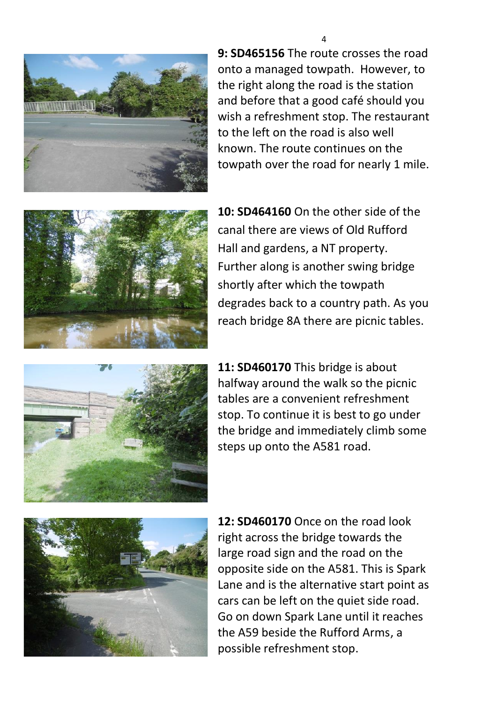

**9: SD465156** The route crosses the road onto a managed towpath. However, to the right along the road is the station and before that a good café should you wish a refreshment stop. The restaurant to the left on the road is also well known. The route continues on the towpath over the road for nearly 1 mile.



**10: SD464160** On the other side of the canal there are views of Old Rufford Hall and gardens, a NT property. Further along is another swing bridge shortly after which the towpath degrades back to a country path. As you reach bridge 8A there are picnic tables.



**11: SD460170** This bridge is about halfway around the walk so the picnic tables are a convenient refreshment stop. To continue it is best to go under the bridge and immediately climb some steps up onto the A581 road.



**12: SD460170** Once on the road look right across the bridge towards the large road sign and the road on the opposite side on the A581. This is Spark Lane and is the alternative start point as cars can be left on the quiet side road. Go on down Spark Lane until it reaches the A59 beside the Rufford Arms, a possible refreshment stop.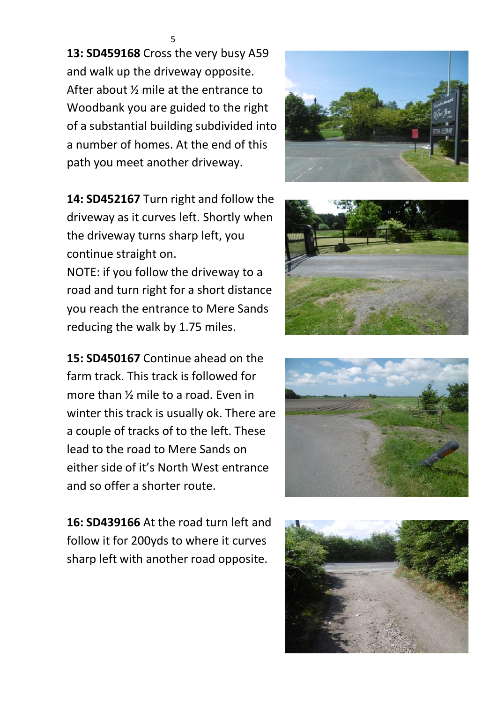**13: SD459168** Cross the very busy A59 and walk up the driveway opposite. After about ½ mile at the entrance to Woodbank you are guided to the right of a substantial building subdivided into a number of homes. At the end of this path you meet another driveway.

**14: SD452167** Turn right and follow the driveway as it curves left. Shortly when the driveway turns sharp left, you continue straight on.

NOTE: if you follow the driveway to a road and turn right for a short distance you reach the entrance to Mere Sands reducing the walk by 1.75 miles.

**15: SD450167** Continue ahead on the farm track. This track is followed for more than ½ mile to a road. Even in winter this track is usually ok. There are a couple of tracks of to the left. These lead to the road to Mere Sands on either side of it's North West entrance and so offer a shorter route.

**16: SD439166** At the road turn left and follow it for 200yds to where it curves sharp left with another road opposite.